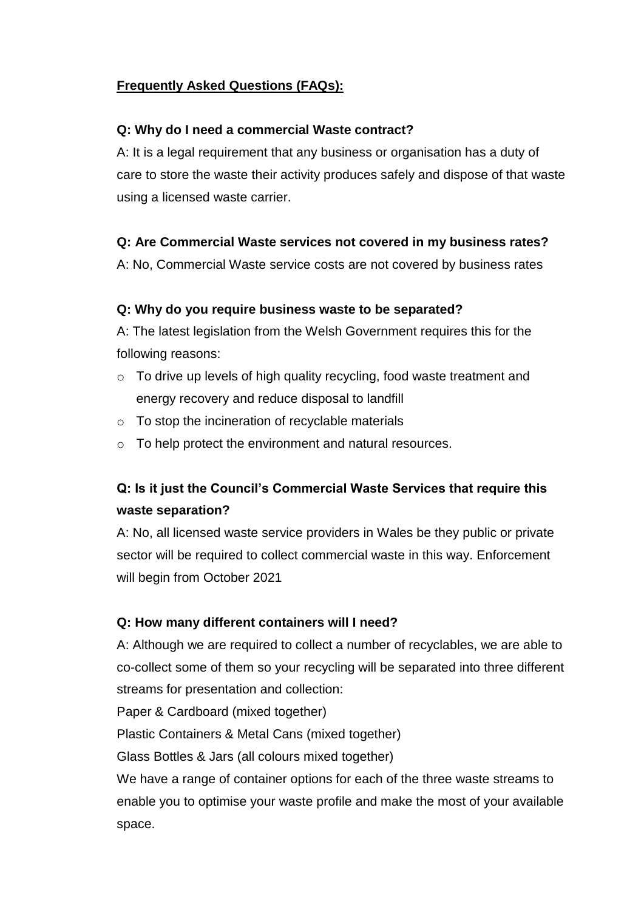# **Frequently Asked Questions (FAQs):**

#### **Q: Why do I need a commercial Waste contract?**

A: It is a legal requirement that any business or organisation has a duty of care to store the waste their activity produces safely and dispose of that waste using a licensed waste carrier.

# **Q: Are Commercial Waste services not covered in my business rates?**

A: No, Commercial Waste service costs are not covered by business rates

# **Q: Why do you require business waste to be separated?**

A: The latest legislation from the Welsh Government requires this for the following reasons:

- o To drive up levels of high quality recycling, food waste treatment and energy recovery and reduce disposal to landfill
- o To stop the incineration of recyclable materials
- o To help protect the environment and natural resources.

# **Q: Is it just the Council's Commercial Waste Services that require this waste separation?**

A: No, all licensed waste service providers in Wales be they public or private sector will be required to collect commercial waste in this way. Enforcement will begin from October 2021

# **Q: How many different containers will I need?**

A: Although we are required to collect a number of recyclables, we are able to co-collect some of them so your recycling will be separated into three different streams for presentation and collection:

Paper & Cardboard (mixed together)

Plastic Containers & Metal Cans (mixed together)

Glass Bottles & Jars (all colours mixed together)

We have a range of container options for each of the three waste streams to enable you to optimise your waste profile and make the most of your available space.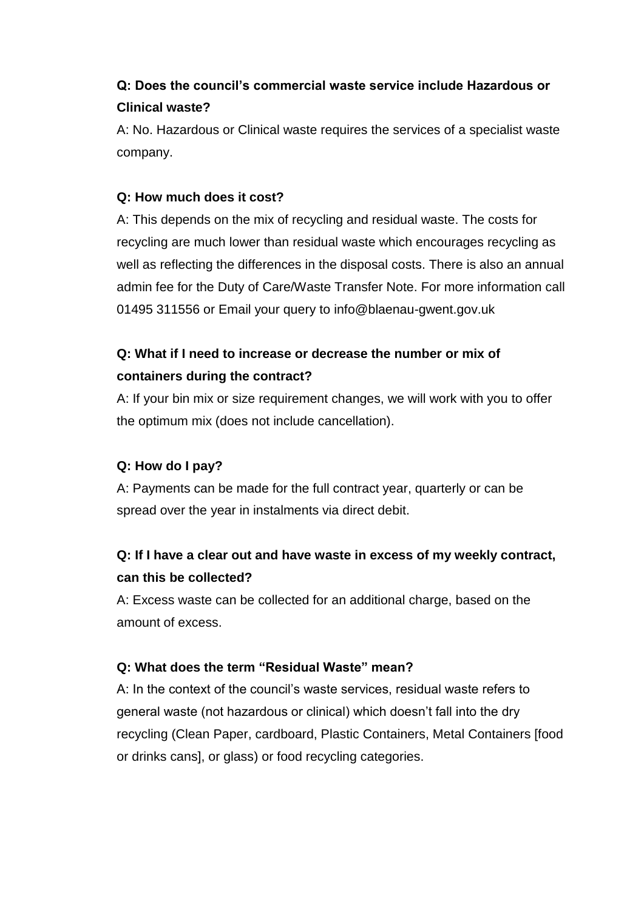# **Q: Does the council's commercial waste service include Hazardous or Clinical waste?**

A: No. Hazardous or Clinical waste requires the services of a specialist waste company.

### **Q: How much does it cost?**

A: This depends on the mix of recycling and residual waste. The costs for recycling are much lower than residual waste which encourages recycling as well as reflecting the differences in the disposal costs. There is also an annual admin fee for the Duty of Care/Waste Transfer Note. For more information call 01495 311556 or Email your query to [info@blaenau-gwent.gov.uk](mailto:info@blaenau-gwent.gov.uk)

# **Q: What if I need to increase or decrease the number or mix of containers during the contract?**

A: If your bin mix or size requirement changes, we will work with you to offer the optimum mix (does not include cancellation).

# **Q: How do I pay?**

A: Payments can be made for the full contract year, quarterly or can be spread over the year in instalments via direct debit.

# **Q: If I have a clear out and have waste in excess of my weekly contract, can this be collected?**

A: Excess waste can be collected for an additional charge, based on the amount of excess.

#### **Q: What does the term "Residual Waste" mean?**

A: In the context of the council's waste services, residual waste refers to general waste (not hazardous or clinical) which doesn't fall into the dry recycling (Clean Paper, cardboard, Plastic Containers, Metal Containers [food or drinks cans], or glass) or food recycling categories.